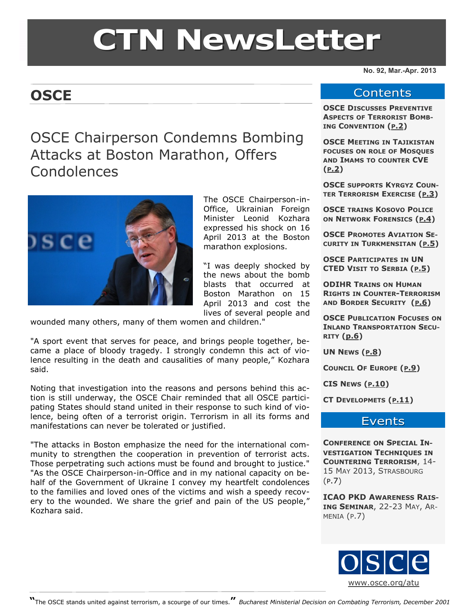# **CTN NewsLetter**

# **OSCE**

# OSCE Chairperson Condemns Bombing Attacks at Boston Marathon, Offers Condolences



The OSCE Chairperson-in-Office, Ukrainian Foreign Minister Leonid Kozhara expressed his shock on 16 April 2013 at the Boston marathon explosions.

"I was deeply shocked by the news about the bomb blasts that occurred at Boston Marathon on 15 April 2013 and cost the lives of several people and

wounded many others, many of them women and children."

"A sport event that serves for peace, and brings people together, became a place of bloody tragedy. I strongly condemn this act of violence resulting in the death and causalities of many people," Kozhara said.

Noting that investigation into the reasons and persons behind this action is still underway, the OSCE Chair reminded that all OSCE participating States should stand united in their response to such kind of violence, being often of a terrorist origin. Terrorism in all its forms and manifestations can never be tolerated or justified.

"The attacks in Boston emphasize the need for the international community to strengthen the cooperation in prevention of terrorist acts. Those perpetrating such actions must be found and brought to justice." "As the OSCE Chairperson-in-Office and in my national capacity on behalf of the Government of Ukraine I convey my heartfelt condolences to the families and loved ones of the victims and wish a speedy recovery to the wounded. We share the grief and pain of the US people," Kozhara said.

**No. 92, Mar.-Apr. 2013**

#### **Contents**

**OSCE DISCUSSES PREVENTIVE ASPECTS OF TERRORIST BOMB-ING CONVENTION (P[.2\)](#page-1-0)**

**OSCE MEETING IN TAJIKISTAN FOCUSES ON ROLE OF MOSQUES AND IMAMS TO COUNTER CVE (P[.2\)](#page-1-0)**

**OSCE SUPPORTS KYRGYZ COUN-TER TERRORISM EXERCISE (P[.3\)](#page-2-0)**

**OSCE TRAINS KOSOVO POLICE ON NETWORK FORENSICS (P[.4\)](#page-3-0)**

**OSCE PROMOTES AVIATION SE-CURITY IN TURKMENSITAN (P[.5\)](#page-4-0)** 

**OSCE PARTICIPATES IN UN CTED VISIT TO SERBIA (P[.5\)](#page-4-0)**

**ODIHR TRAINS ON HUMAN RIGHTS IN COUNTER-TERRORISM AND BORDER SECURITY (P[.6\)](#page-5-0)**

**OSCE PUBLICATION FOCUSES ON INLAND TRANSPORTATION SECU-RITY ([p.6\)](#page-5-0)**

**UN NEWS (P[.8\)](#page-7-0)**

**COUNCIL OF EUROPE (P[.9\)](#page-8-0)** 

**CIS NEWS (P[.10\)](#page-9-0)** 

**CT DEVELOPMETS (P[.11\)](#page-10-0)**

#### Events

**CONFERENCE ON SPECIAL IN-VESTIGATION TECHNIQUES IN COUNTERING TERRORISM**, 14- 15 MAY 2013, STRASBOURG (P.7)

**ICAO PKD AWARENESS RAIS-ING SEMINAR**, 22-23 MAY, AR-MENIA (P.7)

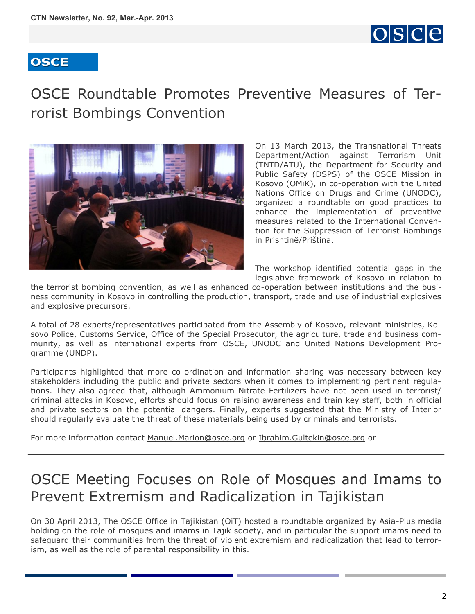

# <span id="page-1-0"></span>OSCE Roundtable Promotes Preventive Measures of Terrorist Bombings Convention



On 13 March 2013, the Transnational Threats Department/Action against Terrorism Unit (TNTD/ATU), the Department for Security and Public Safety (DSPS) of the OSCE Mission in Kosovo (OMiK), in co-operation with the United Nations Office on Drugs and Crime (UNODC), organized a roundtable on good practices to enhance the implementation of preventive measures related to the International Convention for the Suppression of Terrorist Bombings in Prishtinë/Priština.

The workshop identified potential gaps in the legislative framework of Kosovo in relation to

the terrorist bombing convention, as well as enhanced co-operation between institutions and the business community in Kosovo in controlling the production, transport, trade and use of industrial explosives and explosive precursors.

A total of 28 experts/representatives participated from the Assembly of Kosovo, relevant ministries, Kosovo Police, Customs Service, Office of the Special Prosecutor, the agriculture, trade and business community, as well as international experts from OSCE, UNODC and United Nations Development Programme (UNDP).

Participants highlighted that more co-ordination and information sharing was necessary between key stakeholders including the public and private sectors when it comes to implementing pertinent regulations. They also agreed that, although Ammonium Nitrate Fertilizers have not been used in terrorist/ criminal attacks in Kosovo, efforts should focus on raising awareness and train key staff, both in official and private sectors on the potential dangers. Finally, experts suggested that the Ministry of Interior should regularly evaluate the threat of these materials being used by criminals and terrorists.

For more information contact [Manuel.Marion@osce.org](mailto:Manuel.Marion@osce.org) or [Ibrahim.Gultekin@osce.org](mailto:Ibrahim.Gultekin@osce.org) or

# OSCE Meeting Focuses on Role of Mosques and Imams to Prevent Extremism and Radicalization in Tajikistan

On 30 April 2013, The OSCE Office in Tajikistan (OiT) hosted a roundtable organized by Asia-Plus media holding on the role of mosques and imams in Tajik society, and in particular the support imams need to safeguard their communities from the threat of violent extremism and radicalization that lead to terrorism, as well as the role of parental responsibility in this.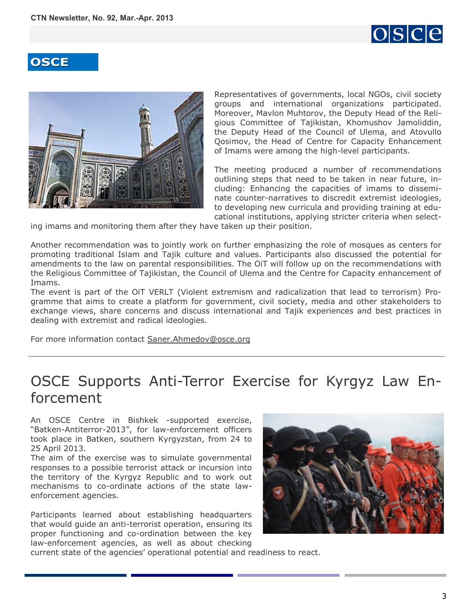

<span id="page-2-0"></span>

Representatives of governments, local NGOs, civil society groups and international organizations participated. Moreover, Mavlon Muhtorov, the Deputy Head of the Religious Committee of Tajikistan, Khomushov Jamoliddin, the Deputy Head of the Council of Ulema, and Atovullo Qosimov, the Head of Centre for Capacity Enhancement of Imams were among the high-level participants.

The meeting produced a number of recommendations outlining steps that need to be taken in near future, including: Enhancing the capacities of imams to disseminate counter-narratives to discredit extremist ideologies, to developing new curricula and providing training at educational institutions, applying stricter criteria when select-

ing imams and monitoring them after they have taken up their position.

Another recommendation was to jointly work on further emphasizing the role of mosques as centers for promoting traditional Islam and Tajik culture and values. Participants also discussed the potential for amendments to the law on parental responsibilities. The OiT will follow up on the recommendations with the Religious Committee of Tajikistan, the Council of Ulema and the Centre for Capacity enhancement of Imams.

The event is part of the OiT VERLT (Violent extremism and radicalization that lead to terrorism) Programme that aims to create a platform for government, civil society, media and other stakeholders to exchange views, share concerns and discuss international and Tajik experiences and best practices in dealing with extremist and radical ideologies.

For more information contact [Saner.Ahmedov@osce.org](mailto:Saner.Ahmedov@osce.org) 

# OSCE Supports Anti-Terror Exercise for Kyrgyz Law Enforcement

An OSCE Centre in Bishkek -supported exercise, "Batken-Antiterror-2013", for law-enforcement officers took place in Batken, southern Kyrgyzstan, from 24 to 25 April 2013.

The aim of the exercise was to simulate governmental responses to a possible terrorist attack or incursion into the territory of the Kyrgyz Republic and to work out mechanisms to co-ordinate actions of the state lawenforcement agencies.

Participants learned about establishing headquarters that would guide an anti-terrorist operation, ensuring its proper functioning and co-ordination between the key law-enforcement agencies, as well as about checking



current state of the agencies' operational potential and readiness to react.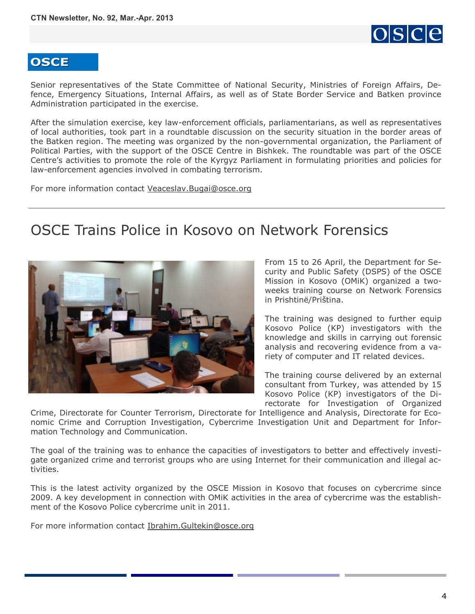

<span id="page-3-0"></span>Senior representatives of the State Committee of National Security, Ministries of Foreign Affairs, Defence, Emergency Situations, Internal Affairs, as well as of State Border Service and Batken province Administration participated in the exercise.

After the simulation exercise, key law-enforcement officials, parliamentarians, as well as representatives of local authorities, took part in a roundtable discussion on the security situation in the border areas of the Batken region. The meeting was organized by the non-governmental organization, the Parliament of Political Parties, with the support of the OSCE Centre in Bishkek. The roundtable was part of the OSCE Centre's activities to promote the role of the Kyrgyz Parliament in formulating priorities and policies for law-enforcement agencies involved in combating terrorism.

For more information contact [Veaceslav.Bugai@osce.org](mailto:Veaceslav.Bugai@osce.org) 

# OSCE Trains Police in Kosovo on Network Forensics



From 15 to 26 April, the Department for Security and Public Safety (DSPS) of the OSCE Mission in Kosovo (OMiK) organized a twoweeks training course on Network Forensics in Prishtinë/Priština.

The training was designed to further equip Kosovo Police (KP) investigators with the knowledge and skills in carrying out forensic analysis and recovering evidence from a variety of computer and IT related devices.

The training course delivered by an external consultant from Turkey, was attended by 15 Kosovo Police (KP) investigators of the Directorate for Investigation of Organized

Crime, Directorate for Counter Terrorism, Directorate for Intelligence and Analysis, Directorate for Economic Crime and Corruption Investigation, Cybercrime Investigation Unit and Department for Information Technology and Communication.

The goal of the training was to enhance the capacities of investigators to better and effectively investigate organized crime and terrorist groups who are using Internet for their communication and illegal activities.

This is the latest activity organized by the OSCE Mission in Kosovo that focuses on cybercrime since 2009. A key development in connection with OMiK activities in the area of cybercrime was the establishment of the Kosovo Police cybercrime unit in 2011.

For more information contact [Ibrahim.Gultekin@osce.org](mailto:Ibrahim.Gultkin@osce.org)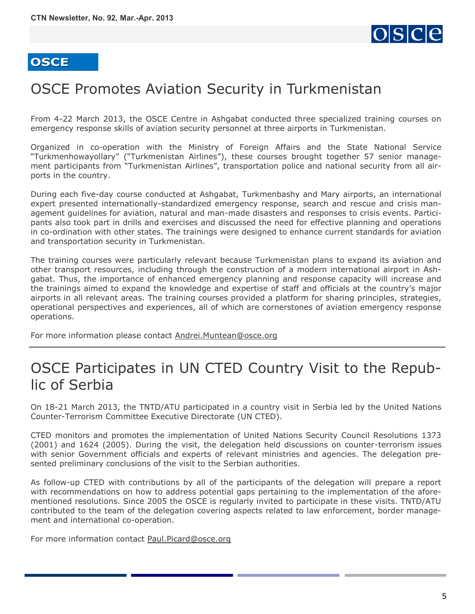

# <span id="page-4-0"></span>OSCE Promotes Aviation Security in Turkmenistan

From 4-22 March 2013, the OSCE Centre in Ashgabat conducted three specialized training courses on emergency response skills of aviation security personnel at three airports in Turkmenistan.

Organized in co-operation with the Ministry of Foreign Affairs and the State National Service "Turkmenhowayollary" ("Turkmenistan Airlines"), these courses brought together 57 senior management participants from "Turkmenistan Airlines", transportation police and national security from all airports in the country.

During each five-day course conducted at Ashgabat, Turkmenbashy and Mary airports, an international expert presented internationally-standardized emergency response, search and rescue and crisis management guidelines for aviation, natural and man-made disasters and responses to crisis events. Participants also took part in drills and exercises and discussed the need for effective planning and operations in co-ordination with other states. The trainings were designed to enhance current standards for aviation and transportation security in Turkmenistan.

The training courses were particularly relevant because Turkmenistan plans to expand its aviation and other transport resources, including through the construction of a modern international airport in Ashgabat. Thus, the importance of enhanced emergency planning and response capacity will increase and the trainings aimed to expand the knowledge and expertise of staff and officials at the country's major airports in all relevant areas. The training courses provided a platform for sharing principles, strategies, operational perspectives and experiences, all of which are cornerstones of aviation emergency response operations.

For more information please contact [Andrei.Muntean@osce.org](mailto:Andrei.Muntean@osce.org)

# OSCE Participates in UN CTED Country Visit to the Republic of Serbia

On 18-21 March 2013, the TNTD/ATU participated in a country visit in Serbia led by the United Nations Counter-Terrorism Committee Executive Directorate (UN CTED).

CTED monitors and promotes the implementation of United Nations Security Council Resolutions 1373 (2001) and 1624 (2005). During the visit, the delegation held discussions on counter-terrorism issues with senior Government officials and experts of relevant ministries and agencies. The delegation presented preliminary conclusions of the visit to the Serbian authorities.

As follow-up CTED with contributions by all of the participants of the delegation will prepare a report with recommendations on how to address potential gaps pertaining to the implementation of the aforementioned resolutions. Since 2005 the OSCE is regularly invited to participate in these visits. TNTD/ATU contributed to the team of the delegation covering aspects related to law enforcement, border management and international co-operation.

For more information contact [Paul.Picard@osce.org](mailto:Paul.Picard@osce.org)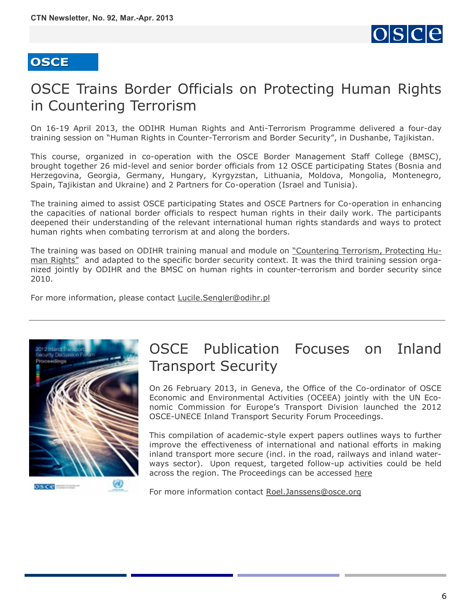

# <span id="page-5-0"></span>OSCE Trains Border Officials on Protecting Human Rights in Countering Terrorism

On 16-19 April 2013, the ODIHR Human Rights and Anti-Terrorism Programme delivered a four-day training session on "Human Rights in Counter-Terrorism and Border Security", in Dushanbe, Tajikistan.

This course, organized in co-operation with the OSCE Border Management Staff College (BMSC), brought together 26 mid-level and senior border officials from 12 OSCE participating States (Bosnia and Herzegovina, Georgia, Germany, Hungary, Kyrgyzstan, Lithuania, Moldova, Mongolia, Montenegro, Spain, Tajikistan and Ukraine) and 2 Partners for Co-operation (Israel and Tunisia).

The training aimed to assist OSCE participating States and OSCE Partners for Co-operation in enhancing the capacities of national border officials to respect human rights in their daily work. The participants deepened their understanding of the relevant international human rights standards and ways to protect human rights when combating terrorism at and along the borders.

The training was based on ODIHR training manual and module on ["Countering Terrorism, Protecting Hu](http://www.osce.org/odihr/29103)[man Rights"](http://www.osce.org/odihr/29103) and adapted to the specific border security context. It was the third training session organized jointly by ODIHR and the BMSC on human rights in counter-terrorism and border security since 2010.

For more information, please contact [Lucile.Sengler@odihr.pl](mailto:Lucile.Sengler@odihr.pl)



# OSCE Publication Focuses on Inland Transport Security

On 26 February 2013, in Geneva, the Office of the Co-ordinator of OSCE Economic and Environmental Activities (OCEEA) jointly with the UN Economic Commission for Europe's Transport Division launched the 2012 OSCE-UNECE Inland Transport Security Forum Proceedings.

This compilation of academic-style expert papers outlines ways to further improve the effectiveness of international and national efforts in making inland transport more secure (incl. in the road, railways and inland waterways sector). Upon request, targeted follow-up activities could be held across the region. The Proceedings can be accessed [here](http://www.osce.org/node/99852)

For more information contact [Roel.Janssens@osce.org](mailto:Roel.Janssens@osce.org)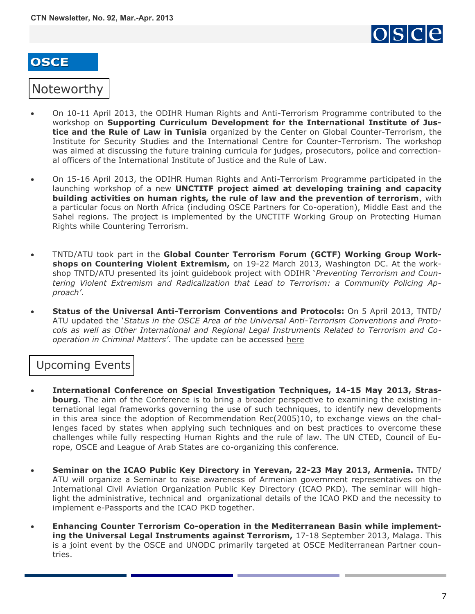

#### Noteworthy

- On 10-11 April 2013, the ODIHR Human Rights and Anti-Terrorism Programme contributed to the workshop on **Supporting Curriculum Development for the International Institute of Justice and the Rule of Law in Tunisia** organized by the Center on Global Counter-Terrorism, the Institute for Security Studies and the International Centre for Counter-Terrorism. The workshop was aimed at discussing the future training curricula for judges, prosecutors, police and correctional officers of the International Institute of Justice and the Rule of Law.
- On 15-16 April 2013, the ODIHR Human Rights and Anti-Terrorism Programme participated in the launching workshop of a new **UNCTITF project aimed at developing training and capacity building activities on human rights, the rule of law and the prevention of terrorism**, with a particular focus on North Africa (including OSCE Partners for Co-operation), Middle East and the Sahel regions. The project is implemented by the UNCTITF Working Group on Protecting Human Rights while Countering Terrorism.
- TNTD/ATU took part in the **Global Counter Terrorism Forum (GCTF) Working Group Workshops on Countering Violent Extremism,** on 19-22 March 2013, Washington DC. At the workshop TNTD/ATU presented its joint guidebook project with ODIHR '*Preventing Terrorism and Countering Violent Extremism and Radicalization that Lead to Terrorism: a Community Policing Approach'*.
- **Status of the Universal Anti-Terrorism Conventions and Protocols:** On 5 April 2013, TNTD/ ATU updated the '*Status in the OSCE Area of the Universal Anti-Terrorism Conventions and Protocols as well as Other International and Regional Legal Instruments Related to Terrorism and Cooperation in Criminal Matters'*. The update can be accessed [here](http://www.osce.org/atu/17138)

### Upcoming Events

- **International Conference on Special Investigation Techniques, 14-15 May 2013, Strasbourg.** The aim of the Conference is to bring a broader perspective to examining the existing international legal frameworks governing the use of such techniques, to identify new developments in this area since the adoption of Recommendation Rec(2005)10, to exchange views on the challenges faced by states when applying such techniques and on best practices to overcome these challenges while fully respecting Human Rights and the rule of law. The UN CTED, Council of Europe, OSCE and League of Arab States are co-organizing this conference.
- **Seminar on the ICAO Public Key Directory in Yerevan, 22-23 May 2013, Armenia.** TNTD/ ATU will organize a Seminar to raise awareness of Armenian government representatives on the International Civil Aviation Organization Public Key Directory (ICAO PKD). The seminar will highlight the administrative, technical and organizational details of the ICAO PKD and the necessity to implement e-Passports and the ICAO PKD together.
- **Enhancing Counter Terrorism Co-operation in the Mediterranean Basin while implementing the Universal Legal Instruments against Terrorism,** 17-18 September 2013, Malaga. This is a joint event by the OSCE and UNODC primarily targeted at OSCE Mediterranean Partner countries.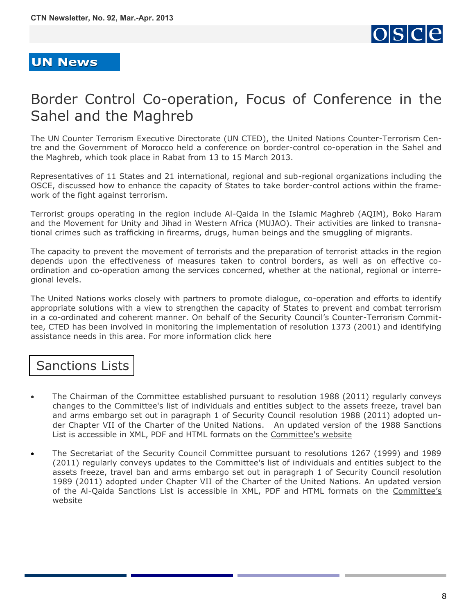

#### <span id="page-7-0"></span>**UN News**

# Border Control Co-operation, Focus of Conference in the Sahel and the Maghreb

The UN Counter Terrorism Executive Directorate (UN CTED), the United Nations Counter-Terrorism Centre and the Government of Morocco held a conference on border-control co-operation in the Sahel and the Maghreb, which took place in Rabat from 13 to 15 March 2013.

Representatives of 11 States and 21 international, regional and sub-regional organizations including the OSCE, discussed how to enhance the capacity of States to take border-control actions within the framework of the fight against terrorism.

Terrorist groups operating in the region include Al-Qaida in the Islamic Maghreb (AQIM), Boko Haram and the Movement for Unity and Jihad in Western Africa (MUJAO). Their activities are linked to transnational crimes such as trafficking in firearms, drugs, human beings and the smuggling of migrants.

The capacity to prevent the movement of terrorists and the preparation of terrorist attacks in the region depends upon the effectiveness of measures taken to control borders, as well as on effective coordination and co-operation among the services concerned, whether at the national, regional or interregional levels.

The United Nations works closely with partners to promote dialogue, co-operation and efforts to identify appropriate solutions with a view to strengthen the capacity of States to prevent and combat terrorism in a co-ordinated and coherent manner. On behalf of the Security Council's Counter-Terrorism Committee, CTED has been involved in monitoring the implementation of resolution 1373 (2001) and identifying assistance needs in this area. For more information click [here](http://www.un.org/en/sc/ctc/news/2013-03-28_Sahel-Maghreb.html)

# Sanctions Lists

- The Chairman of the Committee established pursuant to resolution 1988 (2011) regularly conveys changes to the Committee's list of individuals and entities subject to the assets freeze, travel ban and arms embargo set out in paragraph 1 of Security Council resolution 1988 (2011) adopted under Chapter VII of the Charter of the United Nations. An updated version of the 1988 Sanctions List is accessible in XML, PDF and HTML formats on the [Committee's website](http://www.un.org/sc/committees/1988/list.shtml)
- The Secretariat of the Security Council Committee pursuant to resolutions 1267 (1999) and 1989 (2011) regularly conveys updates to the Committee's list of individuals and entities subject to the assets freeze, travel ban and arms embargo set out in paragraph 1 of Security Council resolution 1989 (2011) adopted under Chapter VII of the Charter of the United Nations. An updated version of the Al-Qaida Sanctions List is accessible in XML, PDF and HTML formats on the [Committee's](http://www.un.org/sc/committees/1267/aq_sanctions_list.shtml.)  [website](http://www.un.org/sc/committees/1267/aq_sanctions_list.shtml.)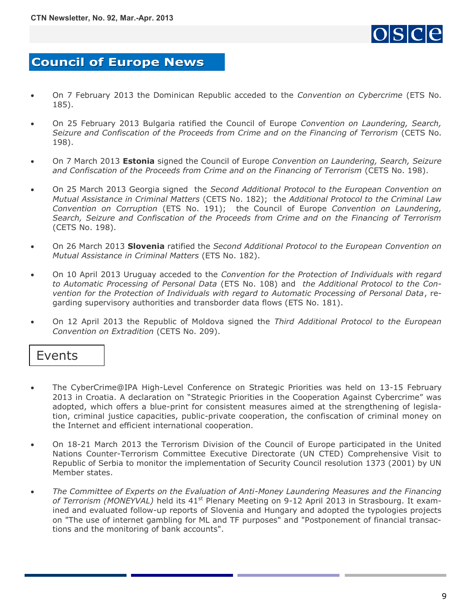

### <span id="page-8-0"></span>**Council of Europe News**

- On 7 February 2013 the Dominican Republic acceded to the *Convention on Cybercrime* [\(ETS No.](http://conventions.coe.int/Treaty/Commun/QueVoulezVous.asp?NT=185&CM=1&CL=ENG)  [185\)](http://conventions.coe.int/Treaty/Commun/QueVoulezVous.asp?NT=185&CM=1&CL=ENG).
- On 25 February 2013 Bulgaria ratified the Council of Europe *Convention on Laundering, Search, Seizure and Confiscation of the Proceeds from Crime and on the Financing of Terrorism* ([CETS No.](http://conventions.coe.int/Treaty/Commun/QueVoulezVous.asp?NT=198&CM=1&CL=ENG)  [198\)](http://conventions.coe.int/Treaty/Commun/QueVoulezVous.asp?NT=198&CM=1&CL=ENG).
- On 7 March 2013 **Estonia** signed the Council of Europe *Convention on Laundering, Search, Seizure and Confiscation of the Proceeds from Crime and on the Financing of Terrorism* ([CETS No. 198\)](http://conventions.coe.int/Treaty/Commun/QueVoulezVous.asp?NT=198&CM=1&CL=ENG).
- On 25 March 2013 Georgia signed the *Second Additional Protocol to the European Convention on Mutual Assistance in Criminal Matters* ([CETS No. 182\);](http://conventions.coe.int/Treaty/Commun/QueVoulezVous.asp?NT=182&CM=1&CL=ENG) the *Additional Protocol to the Criminal Law Convention on Corruption* [\(ETS No. 191\)](http://conventions.coe.int/Treaty/Commun/QueVoulezVous.asp?NT=191&CM=1&CL=ENG); the Council of Europe *Convention on Laundering, Search, Seizure and Confiscation of the Proceeds from Crime and on the Financing of Terrorism*  [\(CETS No. 198\)](http://conventions.coe.int/Treaty/Commun/QueVoulezVous.asp?NT=198&CM=1&CL=ENG).
- On 26 March 2013 **Slovenia** ratified the *Second Additional Protocol to the European Convention on Mutual Assistance in Criminal Matters* ([ETS No. 182\).](http://conventions.coe.int/Treaty/Commun/QueVoulezVous.asp?NT=182&CM=1&CL=ENG)
- On 10 April 2013 Uruguay acceded to the *Convention for the Protection of Individuals with regard to Automatic Processing of Personal Data* [\(ETS No. 108\)](http://conventions.coe.int/Treaty/Commun/QueVoulezVous.asp?NT=108&CM=1&CL=ENG) and *the Additional Protocol to the Convention for the Protection of Individuals with regard to Automatic Processing of Personal Data*, regarding supervisory authorities and transborder data flows ([ETS No. 181\).](http://conventions.coe.int/Treaty/Commun/QueVoulezVous.asp?NT=181&CM=1&CL=ENG)
- On 12 April 2013 the Republic of Moldova signed the *Third Additional Protocol to the European Convention on Extradition* [\(CETS No. 209\).](http://conventions.coe.int/Treaty/Commun/QueVoulezVous.asp?NT=209&CM=1&CL=ENG)

#### Events

- The CyberCrime@IPA High-Level Conference on Strategic Priorities was held on 13-15 February 2013 in Croatia. A declaration on "Strategic Priorities in the Cooperation Against Cybercrime" was adopted, which offers a blue-print for consistent measures aimed at the strengthening of legislation, criminal justice capacities, public-private cooperation, the confiscation of criminal money on the Internet and efficient international cooperation.
- On 18-21 March 2013 the Terrorism Division of the Council of Europe participated in the United Nations Counter-Terrorism Committee Executive Directorate (UN CTED) Comprehensive Visit to Republic of Serbia to monitor the implementation of Security Council resolution 1373 (2001) by UN Member states.
- *The Committee of Experts on the Evaluation of Anti-Money Laundering Measures and the Financing*  of Terrorism (MONEYVAL) held its 41<sup>st</sup> Plenary Meeting on 9-12 April 2013 in Strasbourg. It examined and evaluated follow-up reports of Slovenia and Hungary and adopted the typologies projects on "The use of internet gambling for ML and TF purposes" and "Postponement of financial transactions and the monitoring of bank accounts".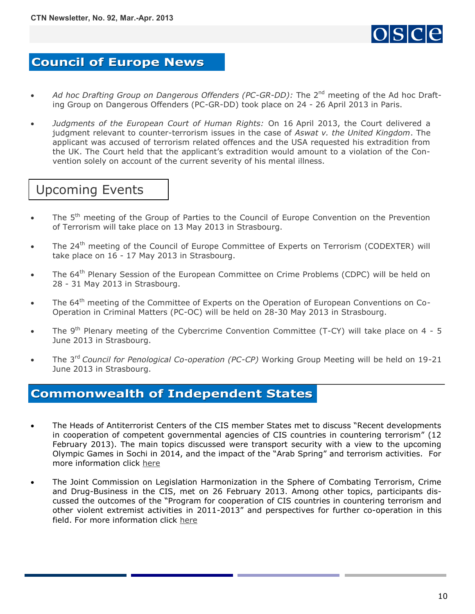

### <span id="page-9-0"></span>**Council of Europe News**

- Ad hoc Drafting Group on Dangerous Offenders (PC-GR-DD): The 2<sup>nd</sup> meeting of the Ad hoc Drafting Group on Dangerous Offenders (PC-GR-DD) took place on 24 - 26 April 2013 in Paris.
- *Judgments of the European Court of Human Rights:* On 16 April 2013, the Court delivered a judgment relevant to counter-terrorism issues in the case of *[Aswat v. the United Kingdom](http://hudoc.echr.coe.int/sites/fra-press/pages/search.aspx?i=003-4329489-5187940)*. The applicant was accused of terrorism related offences and the USA requested his extradition from the UK. The Court held that the applicant's extradition would amount to a violation of the Convention solely on account of the current severity of his mental illness.

## Upcoming Events

- The 5<sup>th</sup> meeting of the Group of Parties to the Council of Europe Convention on the Prevention of Terrorism will take place on 13 May 2013 in Strasbourg.
- The 24<sup>th</sup> meeting of the Council of Europe Committee of Experts on Terrorism (CODEXTER) will take place on 16 - 17 May 2013 in Strasbourg.
- The 64<sup>th</sup> Plenary Session of the European Committee on Crime Problems (CDPC) will be held on 28 - 31 May 2013 in Strasbourg.
- The 64<sup>th</sup> meeting of the [Committee of Experts on the Operation of European Conventions on Co-](http://www.coe.int/t/dghl/standardsetting/pc-oc/default_en.asp)[Operation in Criminal Matters \(PC-OC\) w](http://www.coe.int/t/dghl/standardsetting/pc-oc/default_en.asp)ill be held on 28-30 May 2013 in Strasbourg.
- The  $9<sup>th</sup>$  Plenary meeting of the Cybercrime Convention Committee (T-CY) will take place on 4 5 June 2013 in Strasbourg.
- The 3rd *Council for Penological Co-operation (PC-CP)* Working Group Meeting will be held on 19-21 June 2013 in Strasbourg.

#### **Commonwealth of Independent States**

- The Heads of Antiterrorist Centers of the CIS member States met to discuss "Recent developments in cooperation of competent governmental agencies of CIS countries in countering terrorism" (12 February 2013). The main topics discussed were transport security with a view to the upcoming Olympic Games in Sochi in 2014, and the impact of the "Arab Spring" and terrorism activities. For more information click [here](http://www.cisatc.org/133/163/533.html)
- The Joint Commission on Legislation Harmonization in the Sphere of Combating Terrorism, Crime and Drug-Business in the CIS, met on 26 February 2013. Among other topics, participants discussed the outcomes of the "Program for cooperation of CIS countries in countering terrorism and other violent extremist activities in 2011-2013" and perspectives for further co-operation in this field. For more information click [here](http://www.iacis.ru/eng/activities/events/komissii_mpa_sng/zasedanie_obedinennoy_komissii_po_garmonizatsii_zakonodatelstva_v_sfere_borby_s_terrorizmom_prestupn/%20-)